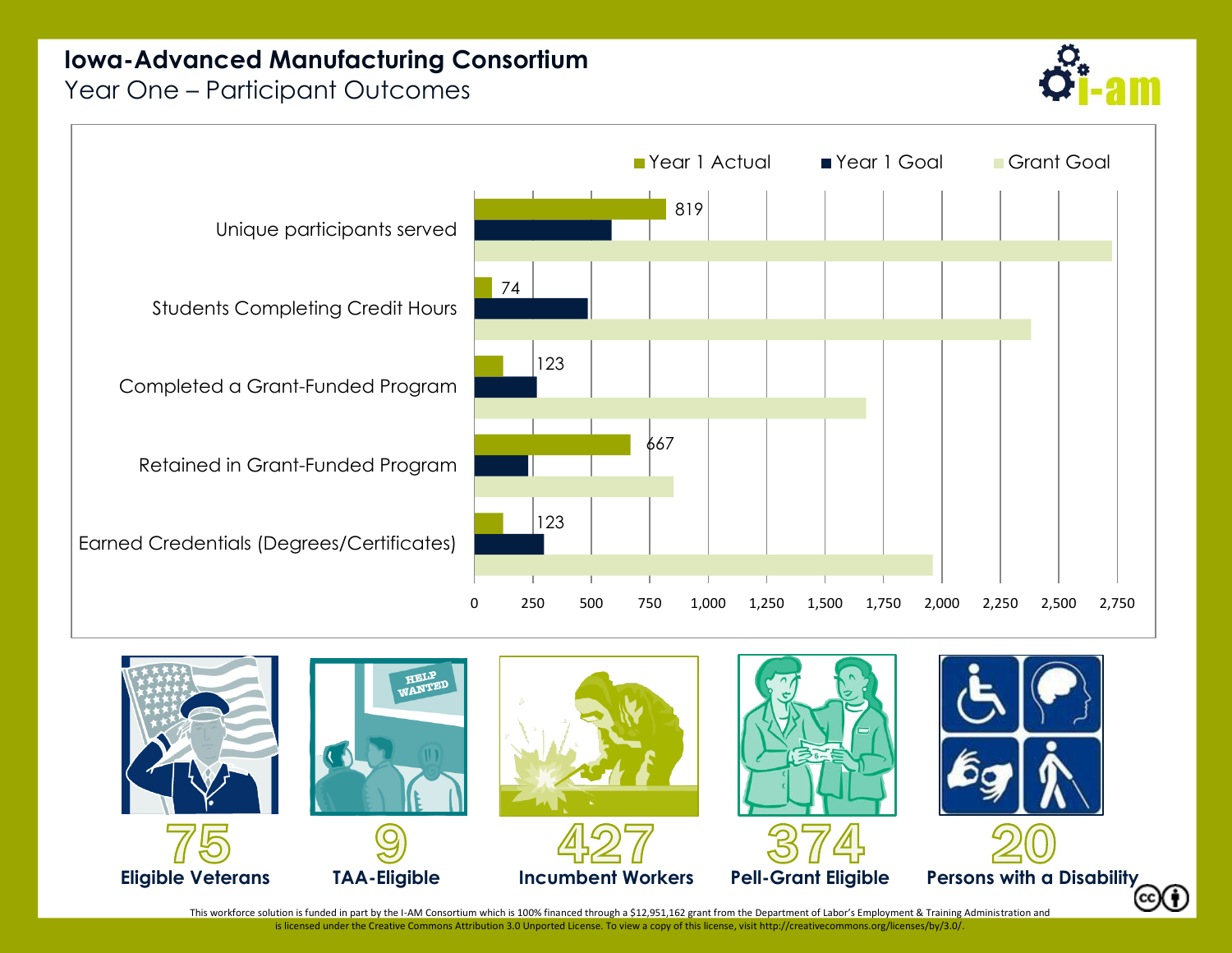## **Iowa-Advanced Manufacturing Consortium**

Year One – Participant Outcomes







This workforce solution is funded in part by the I-AM Consortium which is 100% financed through a \$12,951,162 grant from the Department of Labor's Employment & Training Administration and is licensed under the Creative Commons Attribution 3.0 Unported License. To view a copy of this license, visi[t http://creativecommons.org/licenses/by/3.0/.](http://creativecommons.org/licenses/by/3.0/)